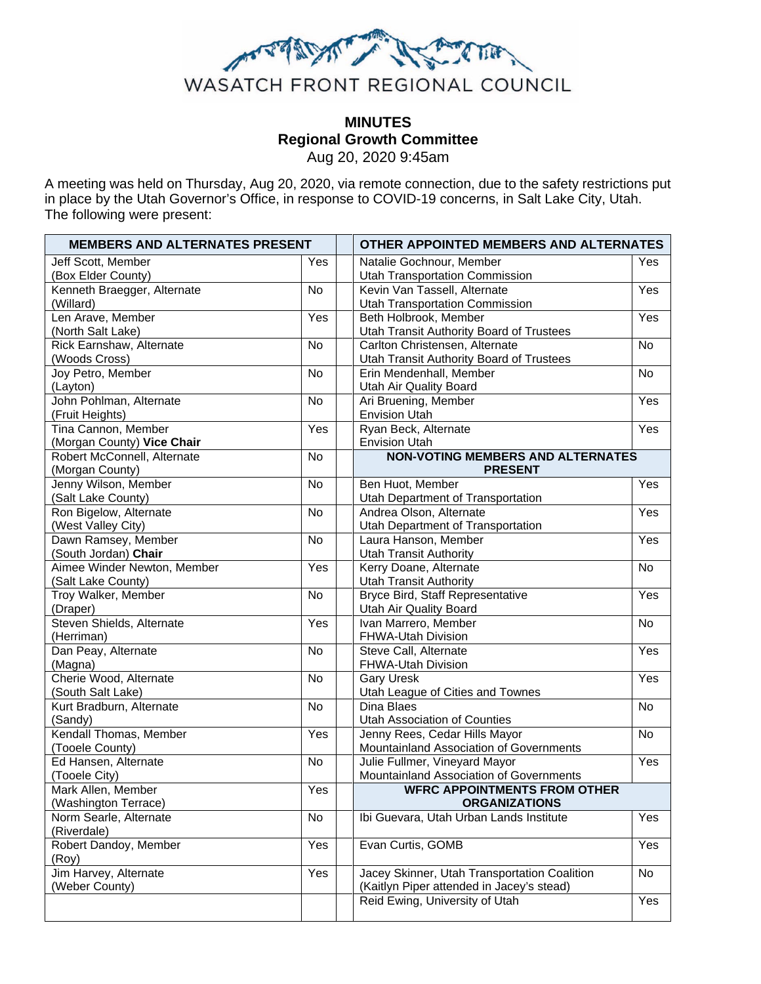

# **MINUTES Regional Growth Committee**  Aug 20, 2020 9:45am

A meeting was held on Thursday, Aug 20, 2020, via remote connection, due to the safety restrictions put in place by the Utah Governor's Office, in response to COVID-19 concerns, in Salt Lake City, Utah. The following were present:

| <b>MEMBERS AND ALTERNATES PRESENT</b>   |           | OTHER APPOINTED MEMBERS AND ALTERNATES |                                                                                           |           |
|-----------------------------------------|-----------|----------------------------------------|-------------------------------------------------------------------------------------------|-----------|
| Jeff Scott, Member                      | Yes       |                                        | Natalie Gochnour, Member                                                                  | Yes       |
| (Box Elder County)                      |           |                                        | Utah Transportation Commission                                                            |           |
| Kenneth Braegger, Alternate             | <b>No</b> |                                        | Kevin Van Tassell, Alternate                                                              | Yes       |
| (Willard)                               |           |                                        | <b>Utah Transportation Commission</b>                                                     |           |
| Len Arave, Member                       | Yes       |                                        | Beth Holbrook, Member                                                                     | Yes       |
| (North Salt Lake)                       |           |                                        | Utah Transit Authority Board of Trustees                                                  |           |
| Rick Earnshaw, Alternate                | No        |                                        | Carlton Christensen, Alternate                                                            | No        |
| (Woods Cross)                           |           |                                        | Utah Transit Authority Board of Trustees                                                  |           |
| Joy Petro, Member                       | <b>No</b> |                                        | Erin Mendenhall, Member                                                                   | No        |
| (Layton)                                |           |                                        | <b>Utah Air Quality Board</b>                                                             |           |
| John Pohlman, Alternate                 | <b>No</b> |                                        | Ari Bruening, Member                                                                      | Yes       |
| (Fruit Heights)                         |           |                                        | <b>Envision Utah</b>                                                                      |           |
| Tina Cannon, Member                     | Yes       |                                        | Ryan Beck, Alternate                                                                      | Yes       |
| (Morgan County) Vice Chair              |           |                                        | <b>Envision Utah</b>                                                                      |           |
| Robert McConnell, Alternate             | <b>No</b> |                                        | <b>NON-VOTING MEMBERS AND ALTERNATES</b>                                                  |           |
| (Morgan County)<br>Jenny Wilson, Member | <b>No</b> |                                        | <b>PRESENT</b><br>Ben Huot, Member                                                        | Yes       |
| (Salt Lake County)                      |           |                                        | Utah Department of Transportation                                                         |           |
| Ron Bigelow, Alternate                  | <b>No</b> |                                        | Andrea Olson, Alternate                                                                   | Yes       |
| (West Valley City)                      |           |                                        | Utah Department of Transportation                                                         |           |
| Dawn Ramsey, Member                     | <b>No</b> |                                        | Laura Hanson, Member                                                                      | Yes       |
| (South Jordan) Chair                    |           |                                        | <b>Utah Transit Authority</b>                                                             |           |
| Aimee Winder Newton, Member             | Yes       |                                        | Kerry Doane, Alternate                                                                    | No        |
| (Salt Lake County)                      |           |                                        | <b>Utah Transit Authority</b>                                                             |           |
| Troy Walker, Member                     | No        |                                        | Bryce Bird, Staff Representative                                                          | Yes       |
| (Draper)                                |           |                                        | Utah Air Quality Board                                                                    |           |
| Steven Shields, Alternate               | Yes       |                                        | Ivan Marrero, Member                                                                      | No        |
| (Herriman)                              |           |                                        | FHWA-Utah Division                                                                        |           |
| Dan Peay, Alternate                     | No        |                                        | Steve Call, Alternate                                                                     | Yes       |
| (Magna)                                 |           |                                        | FHWA-Utah Division                                                                        |           |
| Cherie Wood, Alternate                  | <b>No</b> |                                        | <b>Gary Uresk</b>                                                                         | Yes       |
| (South Salt Lake)                       |           |                                        | Utah League of Cities and Townes                                                          |           |
| Kurt Bradburn, Alternate                | <b>No</b> |                                        | Dina Blaes                                                                                | <b>No</b> |
| (Sandy)                                 |           |                                        | Utah Association of Counties                                                              |           |
| Kendall Thomas, Member                  | Yes       |                                        | Jenny Rees, Cedar Hills Mayor                                                             | No        |
| (Tooele County)                         |           |                                        | Mountainland Association of Governments                                                   |           |
| Ed Hansen, Alternate                    | <b>No</b> |                                        | Julie Fullmer, Vineyard Mayor                                                             | Yes       |
| (Tooele City)                           |           |                                        | Mountainland Association of Governments                                                   |           |
| Mark Allen, Member                      | Yes       |                                        | <b>WFRC APPOINTMENTS FROM OTHER</b>                                                       |           |
| (Washington Terrace)                    |           |                                        | <b>ORGANIZATIONS</b>                                                                      |           |
| Norm Searle, Alternate                  | No        |                                        | Ibi Guevara, Utah Urban Lands Institute                                                   | Yes       |
| (Riverdale)                             |           |                                        |                                                                                           |           |
| Robert Dandoy, Member                   | Yes       |                                        | Evan Curtis, GOMB                                                                         | Yes       |
| (Roy)                                   |           |                                        |                                                                                           |           |
| Jim Harvey, Alternate<br>(Weber County) | Yes       |                                        | Jacey Skinner, Utah Transportation Coalition<br>(Kaitlyn Piper attended in Jacey's stead) | No        |
|                                         |           |                                        | Reid Ewing, University of Utah                                                            | Yes       |
|                                         |           |                                        |                                                                                           |           |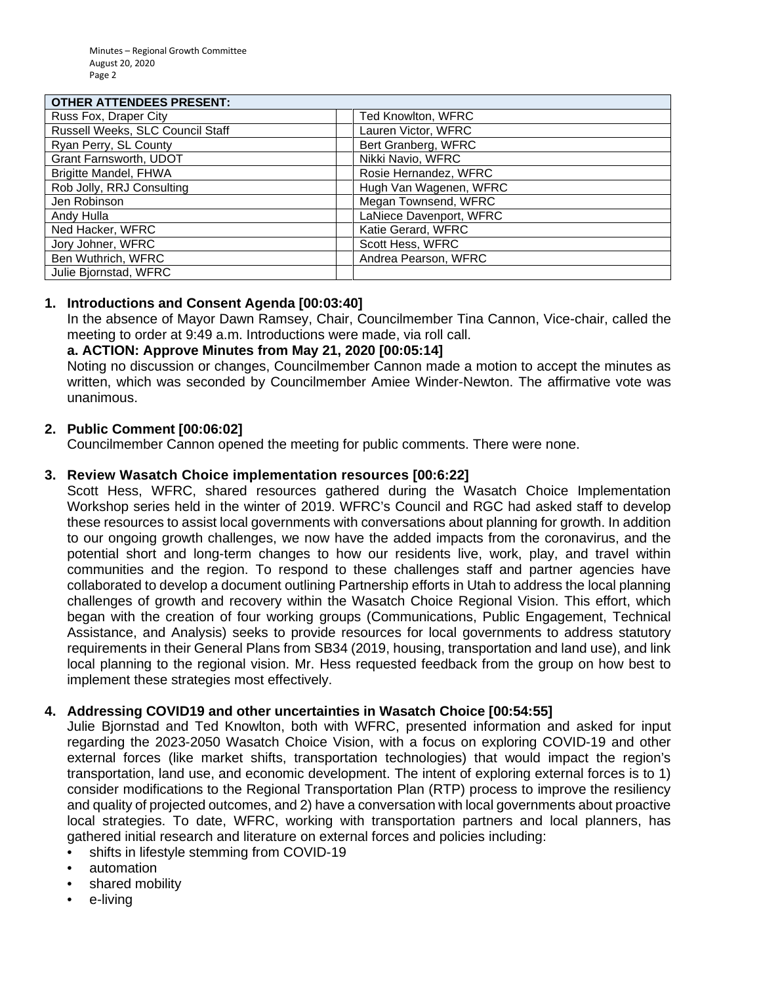#### **OTHER ATTENDEES PRESENT:**

| <u> 8111611 AT TENDELOT NEOLINI.</u> |                           |
|--------------------------------------|---------------------------|
| Russ Fox, Draper City                | <b>Ted Knowlton, WFRC</b> |
| Russell Weeks, SLC Council Staff     | Lauren Victor, WFRC       |
| Ryan Perry, SL County                | Bert Granberg, WFRC       |
| Grant Farnsworth, UDOT               | Nikki Navio, WFRC         |
| Brigitte Mandel, FHWA                | Rosie Hernandez, WFRC     |
| Rob Jolly, RRJ Consulting            | Hugh Van Wagenen, WFRC    |
| Jen Robinson                         | Megan Townsend, WFRC      |
| Andy Hulla                           | LaNiece Davenport, WFRC   |
| Ned Hacker, WFRC                     | Katie Gerard, WFRC        |
| Jory Johner, WFRC                    | Scott Hess, WFRC          |
| Ben Wuthrich, WFRC                   | Andrea Pearson, WFRC      |
| Julie Bjornstad, WFRC                |                           |

### **1. Introductions and Consent Agenda [00:03:40]**

In the absence of Mayor Dawn Ramsey, Chair, Councilmember Tina Cannon, Vice-chair, called the meeting to order at 9:49 a.m. Introductions were made, via roll call.

### **a. ACTION: Approve Minutes from May 21, 2020 [00:05:14]**

Noting no discussion or changes, Councilmember Cannon made a motion to accept the minutes as written, which was seconded by Councilmember Amiee Winder-Newton. The affirmative vote was unanimous.

### **2. Public Comment [00:06:02]**

Councilmember Cannon opened the meeting for public comments. There were none.

### **3. Review Wasatch Choice implementation resources [00:6:22]**

Scott Hess, WFRC, shared resources gathered during the Wasatch Choice Implementation Workshop series held in the winter of 2019. WFRC's Council and RGC had asked staff to develop these resources to assist local governments with conversations about planning for growth. In addition to our ongoing growth challenges, we now have the added impacts from the coronavirus, and the potential short and long-term changes to how our residents live, work, play, and travel within communities and the region. To respond to these challenges staff and partner agencies have collaborated to develop a document outlining Partnership efforts in Utah to address the local planning challenges of growth and recovery within the Wasatch Choice Regional Vision. This effort, which began with the creation of four working groups (Communications, Public Engagement, Technical Assistance, and Analysis) seeks to provide resources for local governments to address statutory requirements in their General Plans from SB34 (2019, housing, transportation and land use), and link local planning to the regional vision. Mr. Hess requested feedback from the group on how best to implement these strategies most effectively.

## **4. Addressing COVID19 and other uncertainties in Wasatch Choice [00:54:55]**

Julie Bjornstad and Ted Knowlton, both with WFRC, presented information and asked for input regarding the 2023-2050 Wasatch Choice Vision, with a focus on exploring COVID-19 and other external forces (like market shifts, transportation technologies) that would impact the region's transportation, land use, and economic development. The intent of exploring external forces is to 1) consider modifications to the Regional Transportation Plan (RTP) process to improve the resiliency and quality of projected outcomes, and 2) have a conversation with local governments about proactive local strategies. To date, WFRC, working with transportation partners and local planners, has gathered initial research and literature on external forces and policies including:

- shifts in lifestyle stemming from COVID-19
- automation
- shared mobility
- e-livina